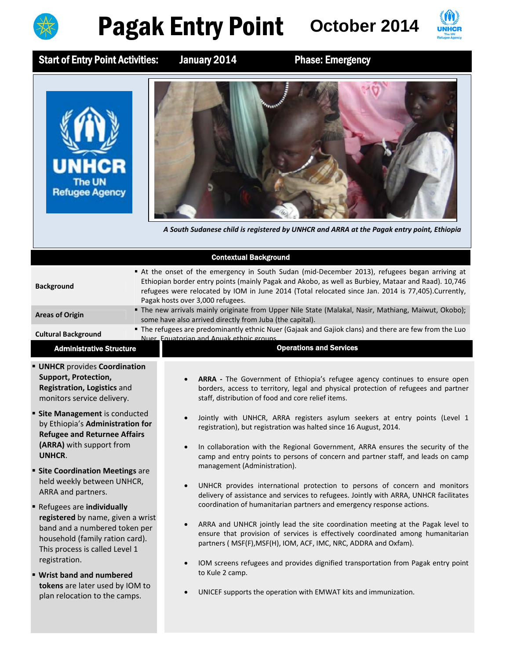

## Pagak Entry Point October 2014



Start of Entry Point Activities: January 2014 Phase: Emergency





A South Sudanese child is registered by UNHCR and ARRA at the Pagak entry point, Ethiopia

|                                                                                                                                                                                               | <b>Contextual Background</b>                                                                                                                                                                                                                                                                                                                                                     |
|-----------------------------------------------------------------------------------------------------------------------------------------------------------------------------------------------|----------------------------------------------------------------------------------------------------------------------------------------------------------------------------------------------------------------------------------------------------------------------------------------------------------------------------------------------------------------------------------|
| <b>Background</b>                                                                                                                                                                             | At the onset of the emergency in South Sudan (mid-December 2013), refugees began arriving at<br>Ethiopian border entry points (mainly Pagak and Akobo, as well as Burbiey, Mataar and Raad). 10,746<br>refugees were relocated by IOM in June 2014 (Total relocated since Jan. 2014 is 77,405). Currently,<br>Pagak hosts over 3,000 refugees.                                   |
| <b>Areas of Origin</b>                                                                                                                                                                        | " The new arrivals mainly originate from Upper Nile State (Malakal, Nasir, Mathiang, Maiwut, Okobo);<br>some have also arrived directly from Juba (the capital).                                                                                                                                                                                                                 |
| <b>Cultural Background</b>                                                                                                                                                                    | The refugees are predominantly ethnic Nuer (Gajaak and Gajiok clans) and there are few from the Luo<br>Nuer, Equatorian and Anuak ethnic groups                                                                                                                                                                                                                                  |
| <b>Administrative Structure</b>                                                                                                                                                               | <b>Operations and Services</b>                                                                                                                                                                                                                                                                                                                                                   |
| <b>UNHCR</b> provides Coordination<br>Support, Protection,<br>Registration, Logistics and<br>monitors service delivery.                                                                       | ARRA - The Government of Ethiopia's refugee agency continues to ensure open<br>borders, access to territory, legal and physical protection of refugees and partner<br>staff, distribution of food and core relief items.                                                                                                                                                         |
| <b>Site Management</b> is conducted<br>by Ethiopia's Administration for<br><b>Refugee and Returnee Affairs</b><br>(ARRA) with support from<br>UNHCR.<br><b>Site Coordination Meetings are</b> | Jointly with UNHCR, ARRA registers asylum seekers at entry points (Level 1<br>$\bullet$<br>registration), but registration was halted since 16 August, 2014.<br>In collaboration with the Regional Government, ARRA ensures the security of the<br>$\bullet$<br>camp and entry points to persons of concern and partner staff, and leads on camp<br>management (Administration). |
| held weekly between UNHCR,<br>ARRA and partners.<br>Refugees are individually                                                                                                                 | UNHCR provides international protection to persons of concern and monitors<br>$\bullet$<br>delivery of assistance and services to refugees. Jointly with ARRA, UNHCR facilitates<br>coordination of humanitarian partners and emergency response actions.                                                                                                                        |
| registered by name, given a wrist<br>band and a numbered token per<br>household (family ration card).<br>This process is called Level 1<br>registration.                                      | ARRA and UNHCR jointly lead the site coordination meeting at the Pagak level to<br>$\bullet$<br>ensure that provision of services is effectively coordinated among humanitarian<br>partners ( MSF(F), MSF(H), IOM, ACF, IMC, NRC, ADDRA and Oxfam).                                                                                                                              |
| ■ Wrist band and numbered                                                                                                                                                                     | IOM screens refugees and provides dignified transportation from Pagak entry point<br>$\bullet$<br>to Kule 2 camp.                                                                                                                                                                                                                                                                |
| tokens are later used by IOM to<br>plan relocation to the camps.                                                                                                                              | UNICEF supports the operation with EMWAT kits and immunization.                                                                                                                                                                                                                                                                                                                  |